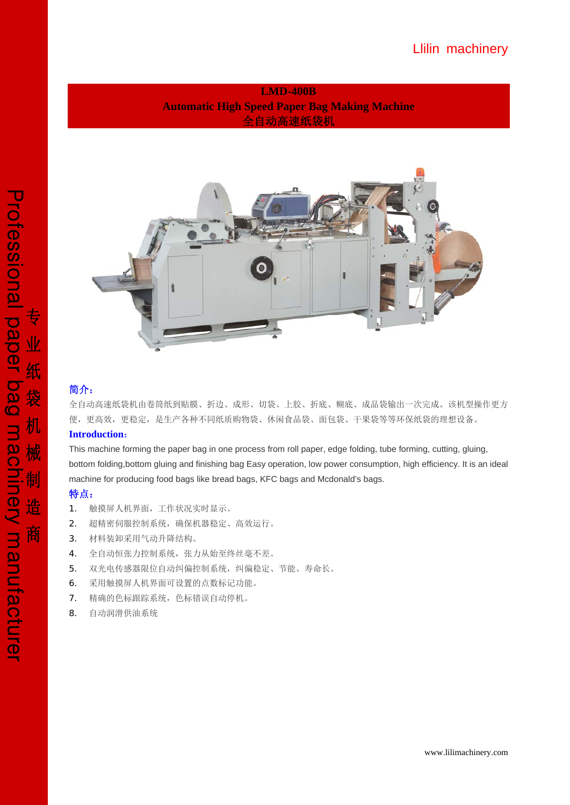**LMD-400B Automatic High Speed Paper Bag Making Machine**  全自动高速纸袋机



# 简介:

全自动高速纸袋机由卷筒纸到贴膜、折边、成形、切袋、上胶、折底、糊底、成品袋输出一次完成。该机型操作更方 便,更高效,更稳定,是生产各种不同纸质购物袋、休闲食品袋、面包袋、干果袋等等环保纸袋的理想设备。

## **Introduction**:

This machine forming the paper bag in one process from roll paper, edge folding, tube forming, cutting, gluing, bottom folding,bottom gluing and finishing bag Easy operation, low power consumption, high efficiency. It is an ideal machine for producing food bags like bread bags, KFC bags and Mcdonald's bags.

# 特点:

- 1. 触摸屏人机界面,工作状况实时显示。
- 2. 超精密伺服控制系统,确保机器稳定、高效运行。
- 3. 材料装卸采用气动升降结构。
- 4. 全自动恒张力控制系统,张力从始至终丝毫不差。
- 5. 双光电传感器限位自动纠偏控制系统,纠偏稳定、节能、寿命长。
- 6. 采用触摸屏人机界面可设置的点数标记功能。
- 7. 精确的色标跟踪系统,色标错误自动停机。
- 8. 自动润滑供油系统